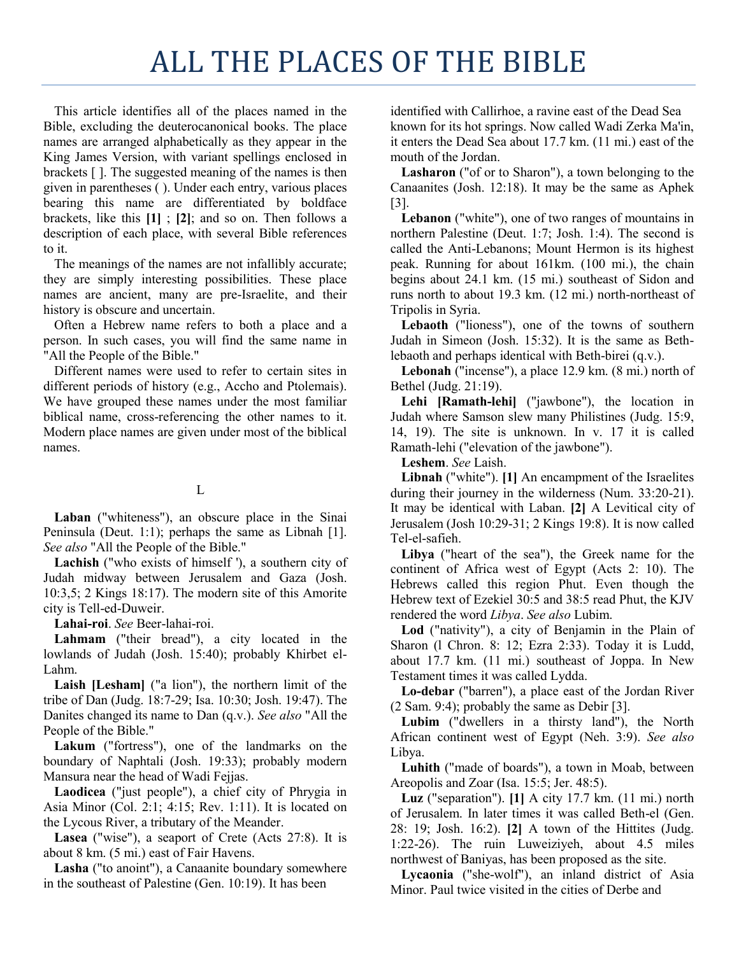## ALL THE PLACES OF THE BIBLE

This article identifies all of the places named in the Bible, excluding the deuterocanonical books. The place names are arranged alphabetically as they appear in the King James Version, with variant spellings enclosed in brackets [ ]. The suggested meaning of the names is then given in parentheses ( ). Under each entry, various places bearing this name are differentiated by boldface brackets, like this **[1]** ; **[2]**; and so on. Then follows a description of each place, with several Bible references to it.

The meanings of the names are not infallibly accurate; they are simply interesting possibilities. These place names are ancient, many are pre-Israelite, and their history is obscure and uncertain.

Often a Hebrew name refers to both a place and a person. In such cases, you will find the same name in "All the People of the Bible."

Different names were used to refer to certain sites in different periods of history (e.g., Accho and Ptolemais). We have grouped these names under the most familiar biblical name, cross-referencing the other names to it. Modern place names are given under most of the biblical names.

## L

**Laban** ("whiteness"), an obscure place in the Sinai Peninsula (Deut. 1:1); perhaps the same as Libnah [1]. *See also* "All the People of the Bible."

**Lachish** ("who exists of himself '), a southern city of Judah midway between Jerusalem and Gaza (Josh. 10:3,5; 2 Kings 18:17). The modern site of this Amorite city is Tell-ed-Duweir.

**Lahai-roi**. *See* Beer-lahai-roi.

**Lahmam** ("their bread"), a city located in the lowlands of Judah (Josh. 15:40); probably Khirbet el-Lahm.

**Laish [Lesham]** ("a lion"), the northern limit of the tribe of Dan (Judg. 18:7-29; Isa. 10:30; Josh. 19:47). The Danites changed its name to Dan (q.v.). *See also* "All the People of the Bible."

**Lakum** ("fortress"), one of the landmarks on the boundary of Naphtali (Josh. 19:33); probably modern Mansura near the head of Wadi Fejjas.

**Laodicea** ("just people"), a chief city of Phrygia in Asia Minor (Col. 2:1; 4:15; Rev. 1:11). It is located on the Lycous River, a tributary of the Meander.

**Lasea** ("wise"), a seaport of Crete (Acts 27:8). It is about 8 km. (5 mi.) east of Fair Havens.

**Lasha** ("to anoint"), a Canaanite boundary somewhere in the southeast of Palestine (Gen. 10:19). It has been

identified with Callirhoe, a ravine east of the Dead Sea known for its hot springs. Now called Wadi Zerka Ma'in, it enters the Dead Sea about 17.7 km. (11 mi.) east of the mouth of the Jordan.

**Lasharon** ("of or to Sharon"), a town belonging to the Canaanites (Josh. 12:18). It may be the same as Aphek [3].

**Lebanon** ("white"), one of two ranges of mountains in northern Palestine (Deut. 1:7; Josh. 1:4). The second is called the Anti-Lebanons; Mount Hermon is its highest peak. Running for about 161km. (100 mi.), the chain begins about 24.1 km. (15 mi.) southeast of Sidon and runs north to about 19.3 km. (12 mi.) north-northeast of Tripolis in Syria.

**Lebaoth** ("lioness"), one of the towns of southern Judah in Simeon (Josh. 15:32). It is the same as Bethlebaoth and perhaps identical with Beth-birei (q.v.).

**Lebonah** ("incense"), a place 12.9 km. (8 mi.) north of Bethel (Judg. 21:19).

**Lehi [Ramath-lehi]** ("jawbone"), the location in Judah where Samson slew many Philistines (Judg. 15:9, 14, 19). The site is unknown. In v. 17 it is called Ramath-lehi ("elevation of the jawbone").

**Leshem**. *See* Laish.

**Libnah** ("white"). **[1]** An encampment of the Israelites during their journey in the wilderness (Num. 33:20-21). It may be identical with Laban. **[2]** A Levitical city of Jerusalem (Josh 10:29-31; 2 Kings 19:8). It is now called Tel-el-safieh.

**Libya** ("heart of the sea"), the Greek name for the continent of Africa west of Egypt (Acts 2: 10). The Hebrews called this region Phut. Even though the Hebrew text of Ezekiel 30:5 and 38:5 read Phut, the KJV rendered the word *Libya*. *See also* Lubim.

**Lod** ("nativity"), a city of Benjamin in the Plain of Sharon (l Chron. 8: 12; Ezra 2:33). Today it is Ludd, about 17.7 km. (11 mi.) southeast of Joppa. In New Testament times it was called Lydda.

**Lo-debar** ("barren"), a place east of the Jordan River (2 Sam. 9:4); probably the same as Debir [3].

**Lubim** ("dwellers in a thirsty land"), the North African continent west of Egypt (Neh. 3:9). *See also* Libya.

**Luhith** ("made of boards"), a town in Moab, between Areopolis and Zoar (Isa. 15:5; Jer. 48:5).

**Luz** ("separation"). **[1]** A city 17.7 km. (11 mi.) north of Jerusalem. In later times it was called Beth-el (Gen. 28: 19; Josh. 16:2). **[2]** A town of the Hittites (Judg. 1:22-26). The ruin Luweiziyeh, about 4.5 miles northwest of Baniyas, has been proposed as the site.

**Lycaonia** ("she-wolf"), an inland district of Asia Minor. Paul twice visited in the cities of Derbe and